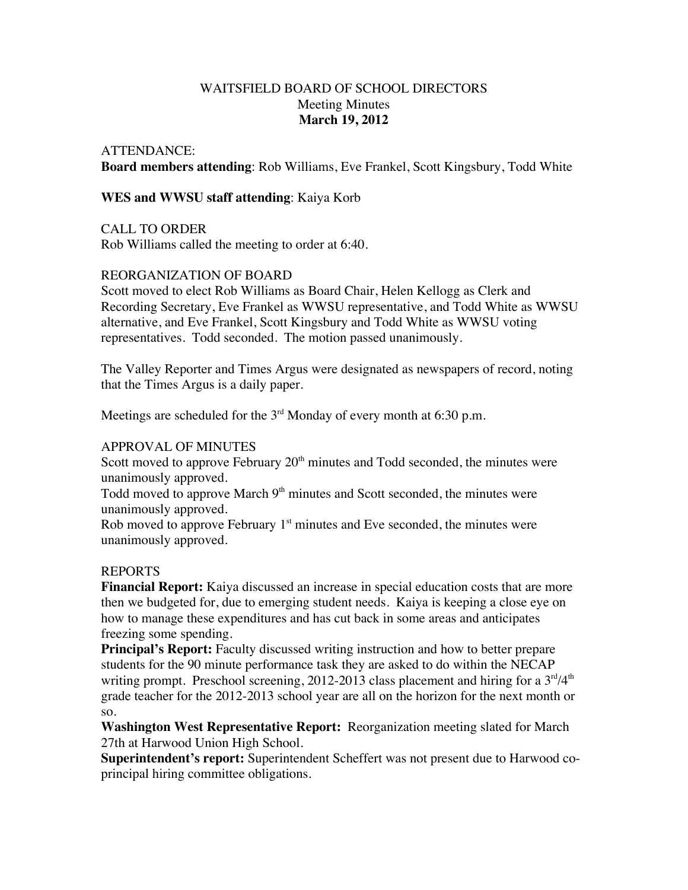## WAITSFIELD BOARD OF SCHOOL DIRECTORS Meeting Minutes **March 19, 2012**

#### ATTENDANCE:

**Board members attending**: Rob Williams, Eve Frankel, Scott Kingsbury, Todd White

### **WES and WWSU staff attending**: Kaiya Korb

CALL TO ORDER

Rob Williams called the meeting to order at 6:40.

## REORGANIZATION OF BOARD

Scott moved to elect Rob Williams as Board Chair, Helen Kellogg as Clerk and Recording Secretary, Eve Frankel as WWSU representative, and Todd White as WWSU alternative, and Eve Frankel, Scott Kingsbury and Todd White as WWSU voting representatives. Todd seconded. The motion passed unanimously.

The Valley Reporter and Times Argus were designated as newspapers of record, noting that the Times Argus is a daily paper.

Meetings are scheduled for the  $3<sup>rd</sup>$  Monday of every month at 6:30 p.m.

#### APPROVAL OF MINUTES

Scott moved to approve February  $20<sup>th</sup>$  minutes and Todd seconded, the minutes were unanimously approved.

Todd moved to approve March  $9<sup>th</sup>$  minutes and Scott seconded, the minutes were unanimously approved.

Rob moved to approve February  $1<sup>st</sup>$  minutes and Eve seconded, the minutes were unanimously approved.

#### REPORTS

**Financial Report:** Kaiya discussed an increase in special education costs that are more then we budgeted for, due to emerging student needs. Kaiya is keeping a close eye on how to manage these expenditures and has cut back in some areas and anticipates freezing some spending.

**Principal's Report:** Faculty discussed writing instruction and how to better prepare students for the 90 minute performance task they are asked to do within the NECAP writing prompt. Preschool screening, 2012-2013 class placement and hiring for a  $3<sup>rd</sup>/4<sup>th</sup>$ grade teacher for the 2012-2013 school year are all on the horizon for the next month or so.

**Washington West Representative Report:** Reorganization meeting slated for March 27th at Harwood Union High School.

**Superintendent's report:** Superintendent Scheffert was not present due to Harwood coprincipal hiring committee obligations.